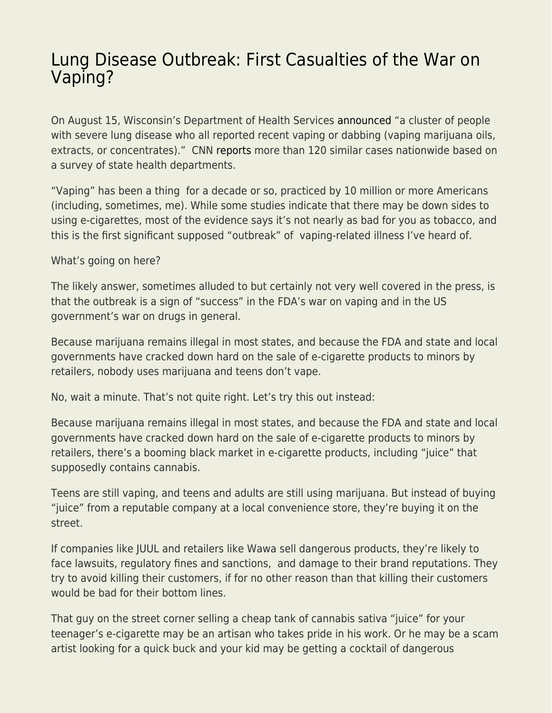## [Lung Disease Outbreak: First Casualties of the War on](https://everything-voluntary.com/lung-disease-outbreak-first-casualties-of-the-war-on-vaping) [Vaping?](https://everything-voluntary.com/lung-disease-outbreak-first-casualties-of-the-war-on-vaping)

On August 15, Wisconsin's Department of Health Services [announced](https://www.dhs.wisconsin.gov/outbreaks/index.htm) "a cluster of people with severe lung disease who all reported recent vaping or dabbing (vaping marijuana oils, extracts, or concentrates)." CNN [reports](https://www.cnn.com/2019/08/17/health/vaping-lung-disease-states/index.html) more than 120 similar cases nationwide based on a survey of state health departments.

"Vaping" has been a thing for a decade or so, practiced by 10 million or more Americans (including, sometimes, me). While some studies indicate that there may be down sides to using e-cigarettes, most of the evidence says it's not nearly as bad for you as tobacco, and this is the first significant supposed "outbreak" of vaping-related illness I've heard of.

What's going on here?

The likely answer, sometimes alluded to but certainly not very well covered in the press, is that the outbreak is a sign of "success" in the FDA's war on vaping and in the US government's war on drugs in general.

Because marijuana remains illegal in most states, and because the FDA and state and local governments have cracked down hard on the sale of e-cigarette products to minors by retailers, nobody uses marijuana and teens don't vape.

No, wait a minute. That's not quite right. Let's try this out instead:

Because marijuana remains illegal in most states, and because the FDA and state and local governments have cracked down hard on the sale of e-cigarette products to minors by retailers, there's a booming black market in e-cigarette products, including "juice" that supposedly contains cannabis.

Teens are still vaping, and teens and adults are still using marijuana. But instead of buying "juice" from a reputable company at a local convenience store, they're buying it on the street.

If companies like JUUL and retailers like Wawa sell dangerous products, they're likely to face lawsuits, regulatory fines and sanctions, and damage to their brand reputations. They try to avoid killing their customers, if for no other reason than that killing their customers would be bad for their bottom lines.

That guy on the street corner selling a cheap tank of cannabis sativa "juice" for your teenager's e-cigarette may be an artisan who takes pride in his work. Or he may be a scam artist looking for a quick buck and your kid may be getting a cocktail of dangerous